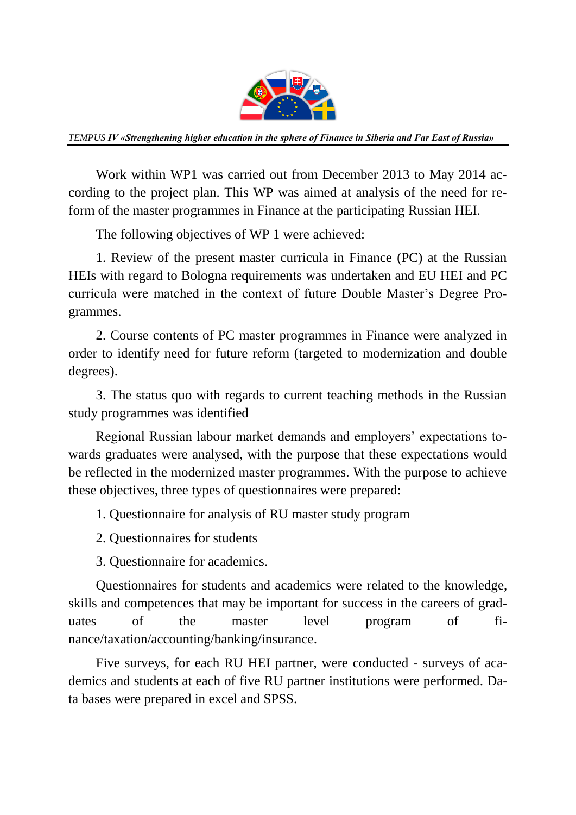

*TEMPUS IV «Strengthening higher education in the sphere of Finance in Siberia and Far East of Russia»*

Work within WP1 was carried out from December 2013 to May 2014 according to the project plan. This WP was aimed at analysis of the need for reform of the master programmes in Finance at the participating Russian HEI.

The following objectives of WP 1 were achieved:

1. Review of the present master curricula in Finance (PC) at the Russian HEIs with regard to Bologna requirements was undertaken and EU HEI and PC curricula were matched in the context of future Double Master's Degree Programmes.

2. Course contents of PC master programmes in Finance were analyzed in order to identify need for future reform (targeted to modernization and double degrees).

3. The status quo with regards to current teaching methods in the Russian study programmes was identified

Regional Russian labour market demands and employers' expectations towards graduates were analysed, with the purpose that these expectations would be reflected in the modernized master programmes. With the purpose to achieve these objectives, three types of questionnaires were prepared:

1. Questionnaire for analysis of RU master study program

2. Questionnaires for students

3. Questionnaire for academics.

Questionnaires for students and academics were related to the knowledge, skills and competences that may be important for success in the careers of graduates of the master level program of finance/taxation/accounting/banking/insurance.

Five surveys, for each RU HEI partner, were conducted - surveys of academics and students at each of five RU partner institutions were performed. Data bases were prepared in excel and SPSS.